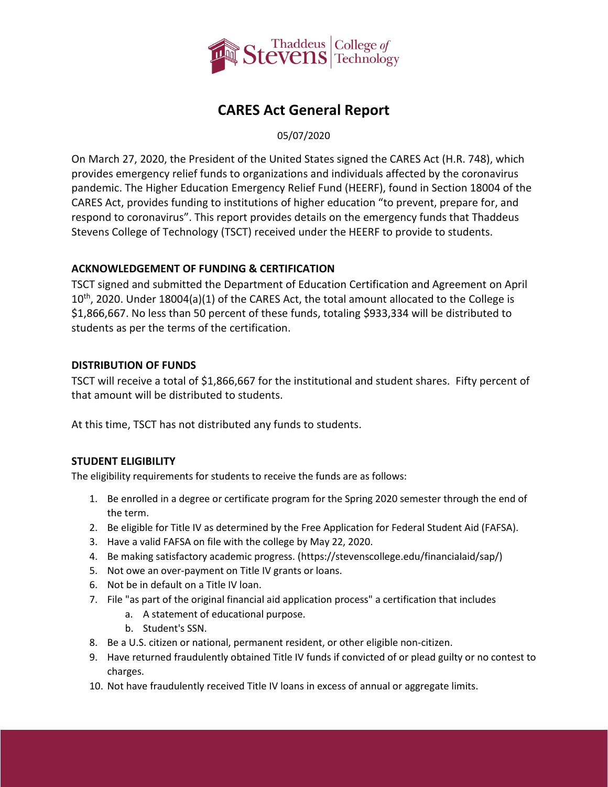

# **CARES Act General Report**

05/07/2020

On March 27, 2020, the President of the United States signed the CARES Act (H.R. 748), which provides emergency relief funds to organizations and individuals affected by the coronavirus pandemic. The Higher Education Emergency Relief Fund (HEERF), found in Section 18004 of the CARES Act, provides funding to institutions of higher education "to prevent, prepare for, and respond to coronavirus". This report provides details on the emergency funds that Thaddeus Stevens College of Technology (TSCT) received under the HEERF to provide to students.

### **ACKNOWLEDGEMENT OF FUNDING & CERTIFICATION**

TSCT signed and submitted the [Department of Education Certification and Agreement](https://www2.ed.gov/about/offices/list/ope/heerfstudentscertificationagreement42020.pdf) on April  $10<sup>th</sup>$ , 2020. Under 18004(a)(1) of the CARES Act, the total amount allocated to the College is \$1,866,667. No less than 50 percent of these funds, totaling \$933,334 will be distributed to students as per the terms of the certification.

### **DISTRIBUTION OF FUNDS**

TSCT will receive a total of \$1,866,667 for the institutional and student shares. Fifty percent of that amount will be distributed to students.

At this time, TSCT has not distributed any funds to students.

## **STUDENT ELIGIBILITY**

The eligibility requirements for students to receive the funds are as follows:

- 1. Be enrolled in a degree or certificate program for the Spring 2020 semester through the end of the term.
- 2. Be eligible for Title IV as determined by the Free Application for Federal Student Aid (FAFSA).
- 3. Have a valid FAFSA on file with the college by May 22, 2020.
- 4. Be making satisfactory academic progress. [\(https://stevenscollege.edu/financialaid/sap/\)](https://stevenscollege.edu/financialaid/sap/)
- 5. Not owe an over-payment on Title IV grants or loans.
- 6. Not be in default on a Title IV loan.
- 7. File "as part of the original financial aid application process" a certification that includes
	- a. A statement of educational purpose.
	- b. Student's SSN.
- 8. Be a U.S. citizen or national, permanent resident, or other eligible non-citizen.
- 9. Have returned fraudulently obtained Title IV funds if convicted of or plead guilty or no contest to charges.
- 10. Not have fraudulently received Title IV loans in excess of annual or aggregate limits.